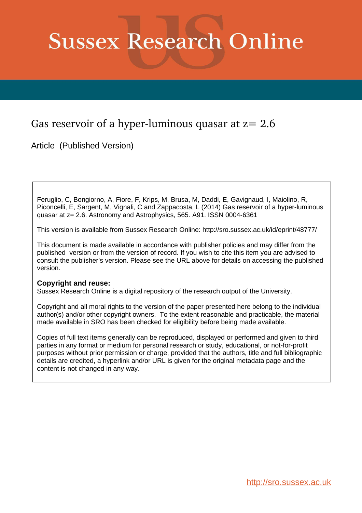# **Sussex Research Online**

## Gas reservoir of a hyper-luminous quasar at  $z=2.6$

Article (Published Version)

Feruglio, C, Bongiorno, A, Fiore, F, Krips, M, Brusa, M, Daddi, E, Gavignaud, I, Maiolino, R, Piconcelli, E, Sargent, M, Vignali, C and Zappacosta, L (2014) Gas reservoir of a hyper-luminous quasar at z= 2.6. Astronomy and Astrophysics, 565. A91. ISSN 0004-6361

This version is available from Sussex Research Online: http://sro.sussex.ac.uk/id/eprint/48777/

This document is made available in accordance with publisher policies and may differ from the published version or from the version of record. If you wish to cite this item you are advised to consult the publisher's version. Please see the URL above for details on accessing the published version.

### **Copyright and reuse:**

Sussex Research Online is a digital repository of the research output of the University.

Copyright and all moral rights to the version of the paper presented here belong to the individual author(s) and/or other copyright owners. To the extent reasonable and practicable, the material made available in SRO has been checked for eligibility before being made available.

Copies of full text items generally can be reproduced, displayed or performed and given to third parties in any format or medium for personal research or study, educational, or not-for-profit purposes without prior permission or charge, provided that the authors, title and full bibliographic details are credited, a hyperlink and/or URL is given for the original metadata page and the content is not changed in any way.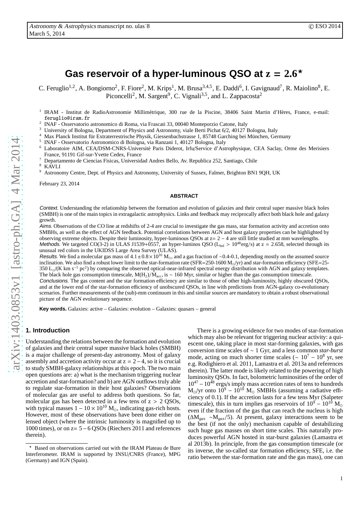## Gas reservoir of a hyper-luminous QSO at  $z = 2.6*$

C. Feruglio<sup>1,2</sup>, A. Bongiorno<sup>2</sup>, F. Fiore<sup>2</sup>, M. Krips<sup>1</sup>, M. Brusa<sup>3,4,5</sup>, E. Daddi<sup>6</sup>, I. Gavignaud<sup>7</sup>, R. Maiolino<sup>8</sup>, E. Piconcelli<sup>2</sup>, M. Sargent<sup>9</sup>, C. Vignali<sup>3,5</sup>, and L. Zappacosta<sup>2</sup>

<sup>1</sup> IRAM - Institut de RadioAstronomie Millimétrique, 300 rue de la Piscine, 38406 Saint Martin d'Hères, France, e-mail: feruglio@iram.fr

2 INAF - Osservatorio astronomico di Roma, via Frascati 33, 00040 Monteporzio Catone, Italy

- <sup>3</sup> University of Bologna, Department of Physics and Astronomy, viale Berti Pichat 6/2, 40127 Bologna, Italy  $\frac{4}{3}$  M<sub>3</sub> Plyster City Little Explicit City Department of Physics and Astronomy, viale Berti Pichat 6/2, 40
- Max Planck Institut für Extraterrestrische Physik, Giessenbachstrasse 1, 85748 Garching bei München, Germany

5 INAF - Osservatorio Astronomico di Bologna, via Ranzani 1, 40127 Bologna, Italy

- <sup>6</sup> Laboratoire AIM, CEA/DSM-CNRS-Université Paris Diderot, Irfu/Service d'Astrophysique, CEA Saclay, Orme des Merisiers France, 91191 Gif-sur-Yvette Cedex, France
- <sup>7</sup> Departamento de Ciencias Fisicas, Universidad Andres Bello, Av. Republica 252, Santiago, Chile

 $\frac{8}{9}$  KAVLI

<sup>9</sup> Astronomy Centre, Dept. of Physics and Astronomy, University of Sussex, Falmer, Brighton BN1 9QH, UK

February 23, 2014

#### **ABSTRACT**

Context. Understanding the relationship between the formation and evolution of galaxies and their central super massive black holes (SMBH) is one of the main topics in extragalactic astrophysics. Links and feedback may reciprocally affect both black hole and galaxy growth.

Aims. Observations of the CO line at redshifts of 2-4 are crucial to investigate the gas mass, star formation activity and accretion onto SMBHs, as well as the effect of AGN feedback. Potential correlations between AGN and host galaxy properties can be highlighted by observing extreme objects. Despite their luminosity, hyper-luminous QSOs at z= 2 − 4 are still little studied at mm wavelengths.

Methods. We targeted CO(3-2) in ULAS J1539+0557, an hyper-luminos QSO ( $L_{bol} > 10^{48}$ erg/s) at z = 2.658, selected through its unusual red colors in the UKIDSS Large Area Survey (ULAS).

Results. We find a molecular gas mass of 4.1±0.8×10<sup>10</sup> M<sub>☉</sub>, and a gas fraction of ~0.4-0.1, depending mostly on the assumed source inclination. We also find a robust lower limit to the star-formation rate (SFR=250-1600  $M_{\odot}/yr$ ) and star-formation efficiency (SFE=25-350 L<sub>☉</sub>/(K km s<sup>-1</sup> pc<sup>2</sup>) by comparing the observed optical-near-infrared spectral energy distribution with AGN and galaxy templates. The black hole gas consumption timescale, M(H<sub>2</sub>)/ $\dot{M}_{acc}$ , is ~ 160 Myr, similar or higher than the gas consumption timescale. Conclusions. The gas content and the star formation efficiency are similar to those of other high-luminosity, highly obscured QSOs,

and at the lower end of the star-formation efficiency of unobscured QSOs, in line with predictions from AGN-galaxy co-evolutionary scenarios. Further measurements of the (sub)-mm continuum in this and similar sources are mandatory to obtain a robust observational picture of the AGN evolutionary sequence.

**Key words.** Galaxies: active – Galaxies: evolution – Galaxies: quasars – general

#### **1. Introduction**

Understanding the relations between the formation and evolution of galaxies and their central super massive black holes (SMBH) is a major challenge of present-day astronomy. Most of galaxy assembly and accretion activity occur at  $z = 2-4$ , so it is crucial to study SMBH-galaxy relationships at this epoch. The two main open questions are: a) what is the mechanism triggering nuclear accretion and star-formation? and b) are AGN outflows truly able to regulate star-formation in their host galaxies? Observations of molecular gas are useful to address both questions. So far, molecular gas has been detected in a few tens of  $z > 2$  QSOs, with typical masses  $1 - 10 \times 10^{10}$  M<sub>o</sub>, indicating gas-rich hosts. However, most of these observations have been done either on lensed object (where the intrinsic luminosity is magnified up to 1000 times), or on z= 5−6 QSOs (Riechers 2011 and references therein).

There is a growing evidence for two modes of star-formation which may also be relevant for triggering nuclear activity: a quiescent one, taking place in most star-forming galaxies, with gas conversion time scales of ∼ 1 Gyr, and a less common *star-burst* mode, acting on much shorter time scales ( $\sim 10^7 - 10^8$  yr, see e.g. Rodighiero et al. 2011, Lamastra et al. 2013a and references therein). The latter mode is likely related to the powering of high luminosity QSOs. In fact, bolometric luminosities of the order of  $10^{47} - 10^{48}$  ergs/s imply mass accretion rates of tens to hundreds  $M_{\odot}/yr$  onto  $10^9 - 10^{10}$  M<sub>☉</sub> SMBHs (assuming a radiative efficiency of 0.1). If the accretion lasts for a few tens Myr (Salpeter timescale), this in turn implies gas reservoirs of  $10^9 - 10^{10}$  M<sub>o</sub> even if the fraction of the gas that can reach the nucleus is high (∆M*gas* ∼M*gas*/5). At present, galaxy interactions seem to be the best (if not the only) mechanism capable of destabilizing such huge gas masses on short time scales. This naturally produces powerful AGN hosted in star-burst galaxies (Lamastra et al 2013b). In principle, from the gas consumption timescale (or its inverse, the so-called star formation efficiency, SFE, i.e. the ratio between the star-formation rate and the gas mass), one can

<sup>⋆</sup> Based on observations carried out with the IRAM Plateau de Bure Interferometer. IRAM is supported by INSU/CNRS (France), MPG (Germany) and IGN (Spain).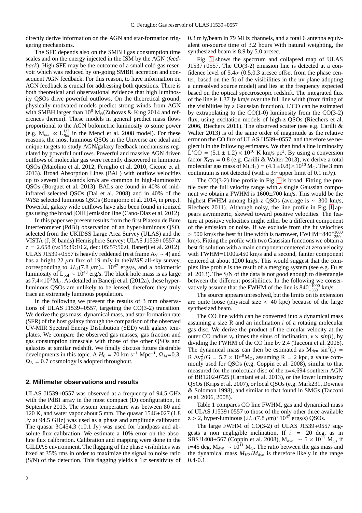directly derive information on the AGN and star-formation triggering mechanisms.

The SFE depends also on the SMBH gas consumption time scales and on the energy injected in the ISM by the AGN (*feedback*). High SFE may be the outcome of a small cold gas reservoir which was reduced by on-going SMBH accretion and consequent AGN feedback. For this reason, to have information on AGN feedback is crucial for addressing both questions. There is both theoretical and observational evidence that high luminosity QSOs drive powerful outflows. On the theoretical ground, physically-motivated models predict strong winds from AGN with SMBH larger than  $10^8$  M<sub>☉</sub>(Zubovas & King 2014 and references therein). These models in general predict mass flows proportional to the AGN bolometric luminosity to some power (e.g.  $M_{out}$  ∝  $L_{Bol}^{1/2}$  in the Menci et al. 2008 model). For these reasons, the most luminous QSOs in the Universe are ideal and unique targets to study AGN/galaxy feedback mechanisms regulated by powerful outflows. Powerful and massive AGN driven outflows of molecular gas were recently discovered in luminous QSOs (Maiolino et al. 2012, Feruglio et al. 2010, Cicone et al. 2013). Broad Absorption Lines (BAL) with outflow velocities up to several thousands km/s are common in high-luminosity QSOs (Borguet et al. 2013). BALs are found in 40% of midinfrared selected QSOs (Dai et al. 2008) and in 40% of the *WISE* selected luminous QSOs (Bongiorno et al. 2014, in prep.). Powerful, galaxy wide outflows have also been found in ionized gas using the broad [OIII] emission line (Cano-Diaz et al. 2012).

In this paper we present results from the first Plateau de Bure Interferometer (PdBI) observation of an hyper-luminous QSO, selected from the UKIDSS Large Area Survey (ULAS) and the VISTA (J, K bands) Hemisphere Survey: ULAS J1539+0557 at z = 2.658 (ra:15:39:10.2, dec: 05:57:50.0, Banerji et al. 2012). ULAS J1539+0557 is heavily reddened (rest frame A<sub>V</sub>  $\sim$  4) and has a bright  $22 \mu m$  flux of 19 mJy in the *WISE* all-sky survey, corresponding to  $\lambda L_{\lambda}(7.8 \ \mu \text{m}) = 10^{47} \text{ ergs/s}$ , and a bolometric luminosity of L<sub>bol</sub> ∼ 10<sup>48</sup> erg/s. The black hole mass is as large as  $7.4\times10^9$  M<sub> $\odot$ </sub>. As detailed in Banerji et al. (2012a), these hyperluminous QSOs are unlikely to be lensed, therefore they truly trace an extremely luminous population.

In the following we present the results of 3 mm observations of ULAS J1539+0557, targeting the CO(3-2) transition. We derive the gas mass, dynamical mass, and star-formation rate (SFR) of the host galaxy through the comparison of the observed UV-MIR Spectral Energy Distribution (SED) with galaxy templates. We compare the observed gas masses, gas fraction and gas consumption timescale with those of the other QSOs and galaxies at similar redshift. We finally discuss future desirable developments in this topic. A  $H_0 = 70$  km s<sup>-1</sup> Mpc<sup>-1</sup>,  $\Omega_M$ =0.3,  $\Omega_{\Lambda} = 0.7$  cosmology is adopted throughout.

#### **2. Millimeter observations and results**

ULAS J1539+0557 was observed at a frequency of 94.5 GHz with the PdBI array in the most compact (D) configuration, in September 2013. The system temperature was between 80 and 120 K, and water vapor about 5 mm. The quasar 1546+027 (1.8 Jy at 94.5 GHz) was used as a phase and amplitude calibrator. The quasar 3C454.3 (10.1 Jy) was used for bandpass and absolute flux calibration. We estimate a 10% error on the absolute flux calibration. Calibration and mapping were done in the GILDAS environment. The flagging of the phase visibilities was fixed at 35% rms in order to maximize the signal to noise ratio (S/N) of the detection. This flagging yields a  $1\sigma$  sensitivity of 0.3 mJy/beam in 79 MHz channels, and a total 6 antenna equivalent on-source time of 3.2 hours With natural weighting, the synthesized beam is 8.9 by 5.0 arcsec.

Fig. [1](#page-3-0) shows the spectrum and collapsed map of ULAS J1537+0557. The CO(3-2) emission line is detected at a confidence level of  $5.4\sigma$  (0.5,0.3 arcsec offset from the phase center, based on the fit of the visibilities in the uv plane adopting a unresolved source model) and lies at the frequency expected based on the optical spectroscopic redshift. The integrated flux of the line is 1.37 Jy km/s over the full line width (from fitting of the visibilities by a Gaussian function). L′CO can be estimated by extrapolating to the  $CO(1-0)$  luminosity from the  $CO(3-2)$ flux, using excitation models of high-z QSOs (Riechers et al. 2006, Riechers 2011). The observed scatter (see e.g. Carilli & Walter 2013) is of the same order of magnitude as the relative error on the CO flux of ULAS J1539+0557, and therefore we neglect it in the following estimates. We then find a line luminosity  $\rm L'CO = (5.1 \pm 1.2) \times 10^{10} \rm \ K \ km/s \ pc^2$ . By using a conversion factor  $X_{CO} = 0.8$  (e.g. Carilli & Walter 2013), we derive a total molecular gas mass of  $M(H_2) = (4.1 \pm 0.8) \times 10^{10} M_{\odot}$ . The 3 mm continuum is not detected (with a  $3\sigma$  upper limit of 0.1 mJy).

The CO(3-2) line profile in Fig. [1](#page-3-0) is broad. Fitting the profile over the full velocity range with a single Gaussian component we obtain a FWHM is 1600±700 km/s. This would be the highest FWHM among high-z QSOs (average is ∼ 300 km/s, Riechers 2011). Although noisy, the line profile in Fig. [1](#page-3-0) appears asymmetric, skewed toward positive velocities. The feature at positive velocities might either be a different component of the emission or noise. If we exclude from the fit velocities  $>$  500 km/s the best fit line width is narrower, FWHM=840<sup>+1000</sup><sup>-350</sup> km/s. Fitting the profile with two Gaussian functions we obtain a best fit solution with a main component centered at zero velocity with FWHM=1100±450 km/s and a second, fainter component centered at about 1200 km/s. This would suggest that the complex line profile is the result of a merging system (see e.g. Fu et al. 2013). The S/N of the data is not good enough to disentangle between the different possibilities. In the following we conservatively assume that the FWHM of the line is  $840^{+1000}_{-350}$  km/s.

The source appears unresolved, but the limits on its extension are quite loose (physical size < 40 kpc) because of the large synthesized beam.

The CO line width can be converted into a dynamical mass assuming a size R and an inclination *i* of a rotating molecular gas disc. We derive the product of the circular velocity at the outer CO radius  $v_c$  times the sinus of inclination,  $v \times \sin(i)$ , by dividing the FWHM of the CO line by 2.4 (Tacconi et al. 2006). The dynamical mass can then be estimated as  $M_{dyn} \sin^2(i) =$  $R \Delta v_c^2/G = 5.7 \times 10^{10} M_{\odot}$ , assuming  $R = 2$  kpc, a value commonly used for QSOs (e.g. Coppin et al. 2008), similar to that measured for the molecular disc of the z=4.694 southern AGN of BR1202-0725 (Carniani et al. 2013), or the lower luminosity QSOs (Krips et al. 2007), or local QSOs (e.g. Mark231, Downes & Solomon 1998), and similar to that found in SMGs (Tacconi et al. 2006, 2008).

Table 1 compares CO line FWHM, gas and dynamical mass of ULAS J1539+0557 to those of the only other three available z > 2, hyper-luminous ( $\lambda L_{\lambda}$ (7.8  $\mu$ m) ≥ 10<sup>47</sup> ergs/s) QSOs.

The large FWHM of CO(3-2) of ULAS J1539+0557 suggests a non negligible inclination. If  $i = 20$  deg, as in SBSJ1408+567 (Coppin et al. 2008),  $M_{dyn} \sim 5 \times 10^{11} M_{\odot}$ , if i=45 deg,  $M_{dyn}$  ~ 10<sup>11</sup> M<sub>☉</sub>. The ratio between the gas mass and the dynamical mass  $M_{H2}/M_{dyn}$  is therefore likely in the range 0.4-0.1.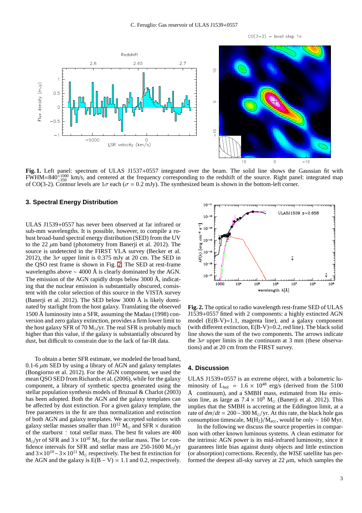$CO(3-2)$  - level step 1 $\sigma$ 



<span id="page-3-0"></span>**Fig. 1.** Left panel: spectrum of ULAS J1537+0557 integrated over the beam. The solid line shows the Gaussian fit with  $FWHM=840^{+1000}_{-350}$  km/s, and centered at the frequency corresponding to the redshift of the source. Right panel: integrated map of CO(3-2). Contour levels are  $1\sigma$  each ( $\sigma = 0.2$  mJy). The synthesized beam is shown in the bottom-left corner.

#### **3. Spectral Energy Distribution**

ULAS J1539+0557 has never been observed at far infrared or sub-mm wavelengths. It is possible, however, to compile a robust broad-band spectral energy distribution (SED) from the UV to the 22  $\mu$ m band (photometry from Banerji et al. 2012). The source is undetected in the FIRST VLA survey (Becker et al. 2012), the  $3\sigma$  upper limit is 0.375 mJy at 20 cm. The SED in the QSO rest frame is shown in Fig. [2.](#page-3-1) The SED at rest-frame wavelengths above  $\sim$  4000 Å is clearly dominated by the AGN. The emission of the AGN rapidly drops below 3000 Å, indicating that the nuclear emission is substantially obscured, consistent with the color selection of this source in the VISTA survey (Banerji et al. 2012). The SED below 3000 Å is likely dominated by starlight from the host galaxy. Translating the observed 1500 Å luminosity into a SFR, assuming the Madau (1998) conversion and zero galaxy extinction, provides a firm lower limit to the host galaxy SFR of  $70 M_{\odot}/yr$ . The real SFR is probably much higher than this value, if the galaxy is substantially obscured by dust, but difficult to constrain due to the lack of far-IR data.

To obtain a better SFR estimate, we modeled the broad band, 0.1-6  $\mu$ m SED by using a library of AGN and galaxy templates (Bongiorno et al. 2012). For the AGN component, we used the mean QSO SED from Richards et al. (2006), while for the galaxy component, a library of synthetic spectra generated using the stellar population synthesis models of Bruzual & Charlot (2003) has been adopted. Both the AGN and the galaxy templates can be affected by dust extinction. For a given galaxy template, the free parameters in the fit are thus normalization and extinction of both AGN and galaxy templates. We accepted solutions with galaxy stellar masses smaller than  $10^{12}$  M<sub>o</sub> and SFR  $\times$  duration of the starburst  $\leq$  total stellar mass. The best fit values are 400  $M_{\odot}/yr$  of SFR and  $3 \times 10^{10}$  M<sub> $\odot$ </sub> for the stellar mass. The  $1\sigma$  confidence intervals for SFR and stellar mass are 250-1600 M<sub>☉</sub>/yr and  $3 \times 10^{10} - 3 \times 10^{11}$  M<sub>o</sub> respectively. The best fit extinction for the AGN and the galaxy is  $E(B - V) = 1.1$  and 0.2, respectively.



<span id="page-3-1"></span>**Fig. 2.** The optical to radio wavelength rest-frame SED of ULAS J1539+0557 fitted with 2 components: a highly extincted AGN model  $(E(B-V)=1.1$ , magenta line), and a galaxy component (with different extinction,  $E(B-V)=0.2$ , red line). The black solid line shows the sum of the two components. The arrows indicate the  $3\sigma$  upper limits in the continuum at 3 mm (these observations) and at 20 cm from the FIRST survey.

#### **4. Discussion**

ULAS J1539+0557 is an extreme object, with a bolometric luminosity of  $L_{bol}$  = 1.6 × 10<sup>48</sup> erg/s (derived from the 5100 Å continuum), and a SMBH mass, estimated from H $\alpha$  emission line, as large as  $7.4 \times 10^9$  M<sub>☉</sub> (Banerji et al. 2012). This implies that the SMBH is accreting at the Eddington limit, at a rate of  $dm/dt = 200-300$  M<sub>☉</sub>/yr. At this rate, the black hole gas consumption timescale, M(H<sub>2</sub>)/M<sub>acc</sub>, would be only ~ 160 Myr.

In the following we discuss the source properties in comparison with other known luminous systems. A clean estimator for the intrinsic AGN power is its mid-infrared luminosity, since it guarantees little bias against dusty objects and little extinction (or absorption) corrections. Recently, the *WISE* satellite has performed the deepest all-sky survey at  $22 \mu m$ , which samples the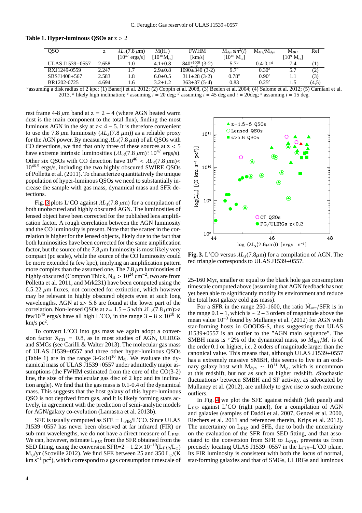| oso             | ∼     | $\lambda L_1(7.8 \,\mu\text{m})$  | $M(H_2)$                         | <b>FWHM</b>                               | $M_{dyn}sin^2(i)$        | $M_{H2}/M_{dyn}$  | ${\rm M}_{BH}$                | Ref   |
|-----------------|-------|-----------------------------------|----------------------------------|-------------------------------------------|--------------------------|-------------------|-------------------------------|-------|
|                 |       | $\mathsf{I}10^{47}$<br>$ergs/s$ ] | $^{\rm T}10^{10}{\rm M}_\odot{}$ | [km/s]                                    | $10^{10}$ M <sub>o</sub> |                   | $[10^9 \ \mathrm{M}_{\odot}]$ |       |
| ULAS J1539+0557 | 2.658 | 0.1                               | $4.1 \pm 0.8$                    | $840^{+1000}_{-250}$<br>$(3-2)$<br>$-350$ | 5.7 <sup>a</sup>         | $0.4 - 0.1d$      | 7.4                           |       |
| RXJ1249-0559    | 2.247 |                                   | $2.9 \pm 0.8$                    | $1090 \pm 340$ (3-2)                      | 9.7 <sup>a</sup>         | $0.30^{b}$        | 5.7                           | (2)   |
| SBSJ1408+567    | 2.583 | 1.8                               | $6.0 \pm 0.5$                    | $311\pm28(3-2)$                           | $0.78^a$                 | 0.90 <sup>c</sup> | 1.1                           | (3)   |
| BR1202-0725     | 4.694 | 1.6                               | $3.2 \pm 1.2$                    | $363\pm37(5-4)$                           | 0.83                     | $0.25^{e}$        | 1.5                           | (4,5) |

#### **Table 1. Hyper-luminous QSOs at** z > 2

assuming a disk radius of 2 kpc; (1) Banerji et al. 2012; (2) Coppin et al. 2008, (3) Beelen et al. 2004; (4) Salome et al. 2012; (5) Carniani et al. 2013, *b* likely high inclination; *c* assuming  $i = 20 \deg$ ; *d* assuming  $i = 45 \deg$  and  $i = 20 \deg$ ; *e* assuming  $i = 15 \deg$ .

rest frame 4-8  $\mu$ m band at z = 2 – 4 (where AGN heated warm dust is the main component to the total flux), finding the most luminous AGN in the sky at  $z < 4 - 5$ . It is therefore convenient to use the 7.8  $\mu$ m luminosity ( $\lambda L_{\lambda}(7.8 \mu m)$ ) as a reliable proxy for the AGN power. By measuring  $\lambda L_{\lambda}(7.8 \,\mu\text{m})$  of all QSOs with CO detections, we find that only three of these sources at  $z < 5$ have extreme intrinsic luminosities  $(\lambda L_{\lambda}(7.8 \mu m) \times 10^{47} \text{ ergs/s}).$ Other six OSOs with CO detection have  $10^{46} < \lambda L_1(7.8 \text{ nm}) <$ 1046.<sup>5</sup> ergs/s, including the two highly obscured SWIRE QSOs of Polletta et al. (2011). To characterize quantitatively the unique population of hyper-luminous QSOs we need to substantially increase the sample with gas mass, dynamical mass and SFR detections.

Fig. [3](#page-4-0) plots L'CO against  $\lambda L_{\lambda}(7.8 \mu m)$  for a compilation of both unobscured and highly obscured AGN. The luminosities of lensed object have been corrected for the published lens amplification factor. A rough correlation between the AGN luminosity and the CO luminosity is present. Note that the scatter in the correlation is higher for the lensed objects, likely due to the fact that both luminosities have been corrected for the same amplification factor, but the source of the  $7.8 \mu m$  luminosity is most likely very compact (pc scale), while the source of the CO luminosity could be more extended (a few kpc), implying an amplification pattern more complex than the assumed one. The 7.8  $\mu$ m luminosities of highly obscured (Compton Thick,  $N_H > 10^{24}$  cm<sup>-2</sup>, two are from Polletta et al. 2011, and Mrk231) have been computed using the 6.5-22  $\mu$ m fluxes, not corrected for extinction, which however may be relevant in highly obscured objects even at such long wavelengths. AGN at z> 5.8 are found at the lower part of the correlation. Non-lensed QSOs at z=  $1.5 - 5$  with  $\lambda L_{\lambda}(7.8 \,\mu\text{m})$  > a few10<sup>46</sup> ergs/s have all high L′CO, in the range  $3 - 8 \times 10^{10}$  K  $km/s$  pc<sup>2</sup>.

To convert L′CO into gas mass we again adopt a conversion factor  $X_{CO} = 0.8$ , as in most studies of AGN, ULIRGs and SMGs (see Carilli & Walter 2013). The molecular gas mass of ULAS J1539+0557 and three other hyper-luminous QSOs (Table 1) are in the range  $3-6\times10^{10}$  M<sub>o</sub>. We evaluate the dynamical mass of ULAS J1539+0557 under admittedly major assumptions (the FWHM estimated from the core of the CO(3-2) line, the size of the molecular gas disc of 2 kpc and its inclination angle). We find that the gas mass is 0.1-0.4 of the dynamical mass. This suggests that the host galaxy of this hyper-luminous QSO is not deprived from gas, and it is likely forming stars actively, in agreement with the prediction of semi-analytic models for AGN/galaxy co-evolution (Lamastra et al. 2013b).

SFE is usually computed as  $SFE = L_{FIR}/L'CO$ . Since ULAS J1539+0557 has never been observed at far infrared (FIR) or sub-mm wavelengths, we do not have a direct measure of L*FIR*. We can, however, estimate L*FIR* from the SFR obtained from the SED fitting, using the conversion SFR= $2 - 1.2 \times 10^{-10}$ (L<sub>FIR/</sub>L<sub>☉</sub>)  $M_{\odot}/yr$  (Scoville 2012). We find SFE between 25 and 350 L<sub>☉</sub>/(K  $\mathrm{km}\,\mathrm{s}^{-1}\,\mathrm{pc}^2$ ), which correspond to a gas consumption timescale of



<span id="page-4-0"></span>**Fig. 3.** L'CO versus  $\lambda L_{\lambda}(7.8\mu\text{m})$  for a compilation of AGN. The red triangle corresponds to ULAS J1539+0557.

25-160 Myr, smaller or equal to the black hole gas consumption timescale computed above (assuming that AGN feedback has not yet been able to significantly modify its environment and reduce the total host galaxy cold gas mass).

For a SFR in the range 250-1600, the ratio  $\dot{M}_{\text{acc}}/SFR$  is in the range  $0.1-1$ , which is  $\sim 2-3$  orders of magnitude above the mean value 10<sup>-3</sup> found by Mullaney et al. (2012) for AGN with star-forming hosts in GOODS-S, thus suggesting that ULAS J1539+0557 is an outlier to the "AGN main sequence". The SMBH mass is  $\geq 2\%$  of the dynamical mass, so  $M_{BH}/M_*$  is of the order 0.1 or higher, i.e. 2 orders of magnitude larger than the canonical value. This means that, although ULAS J1539+0557 has a extremely massive SMBH, this seems to live in an ordinary galaxy host with  $M_{dyn} \sim 10^{11} M_{\odot}$ , which is uncommon at this redshift, but not as such at higher redshift. ′Stochastic fluctuations<sup>,</sup> between SMBH and SF activity, as advocated by Mullaney et al. (2012), are unlikely to give rise to such extreme outliers.

In Fig. [4](#page-6-0) we plot the SFE against redshift (left panel) and L*FIR* against L′CO (right panel), for a compilation of AGN and galaxies (samples of Daddi et al. 2007, Genzel et al. 2000, Riechers et al. 2011 and references therein, Krips et al. 2012). The uncertainty on  $L_{FIR}$  and SFE, due to both the uncertainty on the evaluation of the SFR from SED fitting, and that associated to the conversion from SFR to L*FIR*, prevents us from precisely locating ULAS J1539+0557 in the L*FIR*–L′CO plane. Its FIR luminosity is consistent with both the locus of normal, star-forming galaxies and that of SMGs, ULIRGs and luminous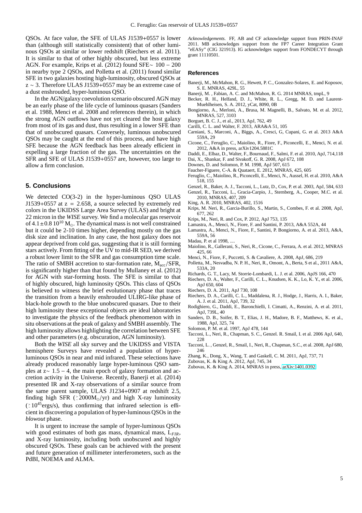QSOs. At face value, the SFE of ULAS J1539+0557 is lower than (although still statistically consistent) that of other luminous QSOs at similar or lower redshift (Riechers et al. 2011). It is similar to that of other highly obscured, but less extreme AGN. For example, Krips et al. (2012) found SFE∼ 100 − 200 in nearby type 2 QSOs, and Polletta et al. (2011) found similar SFE in two galaxies hosting high-luminosity, obscured QSOs at z ∼ 3. Therefore ULAS J1539+0557 may be an extreme case of a dust enshrouded, hyper-luminous QSO.

In the AGN/galaxy coevolution scenario obscured AGN may be an early phase of the life cycle of luminous quasars (Sanders et al. 1988, Menci et al. 2008 and references therein), in which the strong AGN outflows have not yet cleared the host galaxy from most of its gas and dust, thus resulting in a lower SFE than that of unobscured quasars. Conversely, luminous unobscured QSOs may be caught at the end of this process, and have high SFE because the AGN feedback has been already efficient in expelling a large fraction of the gas. The uncertainties on the SFR and SFE of ULAS J1539+0557 are, however, too large to allow a firm conclusion.

#### **5. Conclusions**

We detected CO(3-2) in the hyper-luminous QSO ULAS J1539+0557 at  $z = 2.658$ , a source selected by extremely red colors in the UKIDSS Large Area Survey (ULAS) and bright at 22 micron in the *WISE* survey. We find a molecular gas reservoir of  $4.1 \pm 0.8$   $10^{10}$  M<sub>o</sub>. The dynamical mass is not well constrained but it could be 2-10 times higher, depending mostly on the gas disk size and inclination. In any case, the host galaxy does not appear deprived from cold gas, suggesting that it is still forming stars actively. From fitting of the UV to mid-IR SED, we derived a robust lower limit to the SFR and gas consumption time scale. The ratio of SMBH accretion to star-formation rate,  $\dot{M}_{\text{acc}}/SFR$ , is significantly higher than that found by Mullaney et al. (2012) for AGN with star-forming hosts. The SFE is similar to that of highly obscured, high luminosity QSOs. This class of QSOs is believed to witness the brief evolutionary phase that traces the transition from a heavily enshrouded ULIRG-like phase of black-hole growth to the blue unobscured quasars. Due to their high luminosity these exceptional objects are ideal laboratories to investigate the physics of the feedback phenomenon with in situ observations at the peak of galaxy and SMBH assembly. The high luminosity allows highlighting the correlation between SFE and other parameters (e.g. obscuration, AGN luminosity).

Both the *WISE* all sky survey and the UKIDSS and VISTA hemisphere Surveys have revealed a population of hyperluminous QSOs in near and mid infrared. These selections have already produced reasonably large hyper-luminous QSO samples at  $z \sim 1.5 - 4$ , the main epoch of galaxy formation and accretion activity in the Universe. Recently, Banerji et al. (2014) presented IR and X-ray observations of a similar source from the same parent sample, ULAS J1234+0907 at redshift 2.5, finding high SFR ( $\textdegree$ 2000M<sub>☉</sub>/yr) and high X-ray luminosity ( > <sup>∼</sup> 10<sup>45</sup>ergs/s), thus confirming that infrared selection is efficient in discovering a population of hyper-luminous QSOs in the *blowout* phase.

It is urgent to increase the sample of hyper-luminous QSOs with good estimates of both gas mass, dynamical mass, L*FIR*, and X-ray luminosity, including both unobscured and highly obscured QSOs. These goals can be achieved with the present and future generation of millimeter interferometers, such as the PdBI, NOEMA and ALMA.

*Acknowledgements.* FF, AB and CF acknowledge support from PRIN-INAF 2011. MB acknowledges support from the FP7 Career Integration Grant "eEASy" (CIG 321913). IG acknowledges support from FONDECYT through grant 11110501.

#### **References**

- Banerji, M., McMahon, R. G., Hewett, P. C., Gonzalez-Solares, E. and Koposov, S. E. MNRAS, 429L, 55
- Banerji, M. , Fabian, A. C. and McMahon, R. G. 2014 MNRAS, tmpL, 9
- Becker, R. H., Helfand, D. J., White, R. L., Gregg, M. D. and Laurent-Muehlheisen, S. A. 2012, yCat, 8090, 0B
- Bongiorno, A., Merloni, A., Brusa, M. Magnelli, B., Salvato, M. et al. 2012, MNRAS, 527, 3103
- Borguet, B. C. J., et al., 2013, ApJ, 762, 49
- Carilli, C. L. and Walter, F. 2013, ARA&A 51, 105
- Carniani, S., Marconi, A., Biggs, A., Cresci, G, Cupani, G. et al. 2013 A&A 559A, 29
- Cicone, C., Feruglio, C., Maiolino, R., Fiore, F., Piconcelli, E., Menci, N. et al. 2012, A&A in press, arXiv1204.5881C
- Daddi, E., Elbaz, D., Walter, F., Bournaud, F., Salmi, F. et al. 2010, ApJ, 714,118 Dai, X., Shankar, F. and Sivakoff, G. R. 2008, ApJ 672, 108
- Downes, D. and Solomon, P. M. 1998, ApJ 507, 615
- Faucher-Figuere, C-A. & Quataert, E. 2012, MNRAS, 425, 605
- Feruglio, C., Maiolino, R., Piconcelli, E., Menci, N., Aussel, H. et al. 2010, A&A
- 518, 155 Genzel, R., Baker, A. J., Tacconi, L., Lutz, D., Cox, P. et al. 2003, ApJ, 584, 633
- Genzel, R., Tacconi, L., Gracia-Carpio, J., Sternberg, A., Cooper, M.C. et al. 2010, MNRAS, 407, 209
- King, A. R. 2010, MNRAS, 402, 1516
- Krips, M. Neri, R., Garcia-Burillo, S., Martin, S., Combes, F. et al. 2008, ApJ, 677, 262
- Krips, M., Neri, R. and Cox, P. 2012, ApJ 753, 135
- Lamastra, A., Menci, N., Fiore, F. and Santini, P. 2013, A&A 552A, 44
- Lamastra, A., Menci, N., Fiore, F., Santini, P. Bongiorno, A. et al. 2013, A&A, 559A, 56
- Madau, P. et al 1998, ....
- Maiolino, R., Gallerani, S., Neri, R., Cicone, C., Ferrara, A. et al. 2012, MNRAS 425, 66
- Menci, N., Fiore, F., Puccetti, S. & Cavaliere, A. 2008, ApJ, 686, 219
- Polletta, M., Nesvadba, N. P. H., Neri, R., Omont, A., Berta, S et al., 2011 A&A, 533A, 20
- Richards, G. T., Lacy, M. Storrie-Lombardi, L. J. et al. 2006, ApJS 166, 470
- Riechers, D. A., Walter, F., Carilli, C. L., Knudsen, K. K., Lo, K. Y., et al. 2006, ApJ 650, 604
- Riechers, D. A. 2011, ApJ 730, 108
- Riechers, D. A., Carilli, C. L., Maddalena, R. J., Hodge, J., Harris, A. I., Baker, A. J. et al. 2011, ApJ, 739, 32
- Rodighiero, G., Daddi, E., Baronchielli, I. Cimatti, A., Renzini, A. et al. 2011, ApJ, 739L, 40
- Sanders, D. B., Soifer, B. T., Elias, J. H., Madore, B. F., Matthews, K. et al., 1988, ApJ, 325, 74
- Solomon, P. M. et al. 1997, ApJ 478, 144
- Tacconi, L., Neri, R., Chapman, S. C., Genzel. R. Smail, I. et al. 2006 ApJ, 640, 228
- Tacconi, L. , Genzel, R., Smail, I., Neri, R., Chapman, S.C., et al. 2008, ApJ 680, 246
- Zhang, K., Dong, X., Wang, T. and Gaskell, C. M. 2011, ApJ, 737, 71
- Zubovas, K. & King A. 2012, ApJ, 745, 34
- Zubovas, K. & King A. 2014, MNRAS in press, [arXiv:1401.0392](http://arxiv.org/abs/1401.0392)